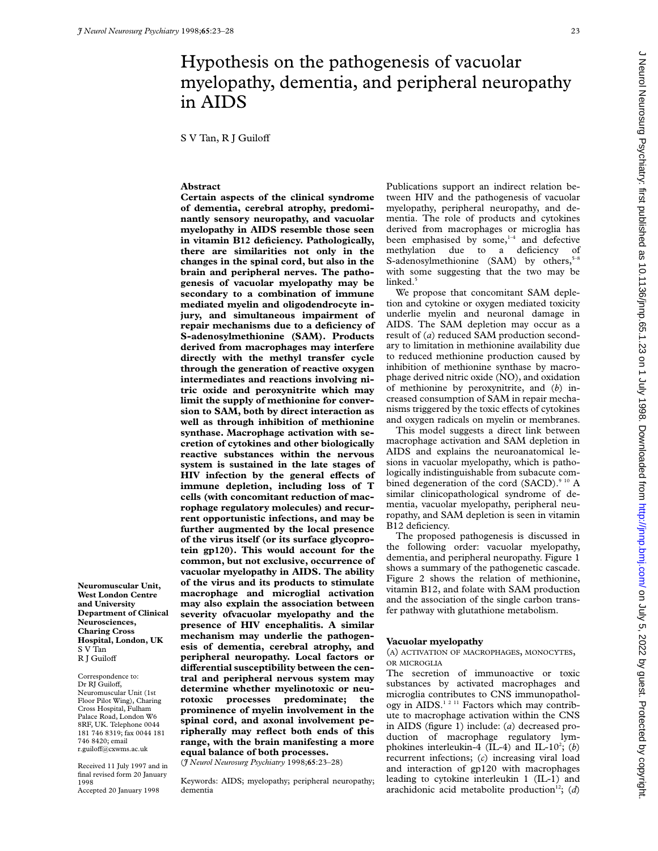# Hypothesis on the pathogenesis of vacuolar myelopathy, dementia, and peripheral neuropathy in AIDS

S V Tan, R J Guiloff

## **Abstract**

**Certain aspects of the clinical syndrome of dementia, cerebral atrophy, predominantly sensory neuropathy, and vacuolar myelopathy in AIDS resemble those seen in vitamin B12 deficiency. Pathologically, there are similarities not only in the changes in the spinal cord, but also in the brain and peripheral nerves. The pathogenesis of vacuolar myelopathy may be secondary to a combination of immune mediated myelin and oligodendrocyte injury, and simultaneous impairment of repair mechanisms due to a deficiency of S-adenosylmethionine (SAM). Products derived from macrophages may interfere directly with the methyl transfer cycle through the generation of reactive oxygen intermediates and reactions involving nitric oxide and peroxynitrite which may limit the supply of methionine for conversion to SAM, both by direct interaction as well as through inhibition of methionine synthase. Macrophage activation with secretion of cytokines and other biologically reactive substances within the nervous system is sustained in the late stages of HIV** infection by the general effects of **immune depletion, including loss of T cells (with concomitant reduction of macrophage regulatory molecules) and recurrent opportunistic infections, and may be further augmented by the local presence of the virus itself (or its surface glycoprotein gp120). This would account for the common, but not exclusive, occurrence of vacuolar myelopathy in AIDS. The ability of the virus and its products to stimulate macrophage and microglial activation may also explain the association between severity ofvacuolar myelopathy and the presence of HIV encephalitis. A similar mechanism may underlie the pathogenesis of dementia, cerebral atrophy, and peripheral neuropathy. Local factors or** differential susceptibility between the cen**tral and peripheral nervous system may determine whether myelinotoxic or neurotoxic processes predominate; the prominence of myelin involvement in the spinal cord, and axonal involvement peripherally may reflect both ends of this range, with the brain manifesting a more equal balance of both processes.**

(*J Neurol Neurosurg Psychiatry* 1998;**65**:23–28)

Keywords: AIDS; myelopathy; peripheral neuropathy; dementia

Publications support an indirect relation between HIV and the pathogenesis of vacuolar myelopathy, peripheral neuropathy, and dementia. The role of products and cytokines derived from macrophages or microglia has been emphasised by some, $1-4$  and defective methylation due to a deficiency of S-adenosylmethionine (SAM) by others, $5-8$ with some suggesting that the two may be linked.<sup>5</sup>

We propose that concomitant SAM depletion and cytokine or oxygen mediated toxicity underlie myelin and neuronal damage in AIDS. The SAM depletion may occur as a result of (*a*) reduced SAM production secondary to limitation in methionine availability due to reduced methionine production caused by inhibition of methionine synthase by macrophage derived nitric oxide (NO), and oxidation of methionine by peroxynitrite, and (*b*) increased consumption of SAM in repair mechanisms triggered by the toxic effects of cytokines and oxygen radicals on myelin or membranes.

This model suggests a direct link between macrophage activation and SAM depletion in AIDS and explains the neuroanatomical lesions in vacuolar myelopathy, which is pathologically indistinguishable from subacute combined degeneration of the cord  $(SACD)^{9/10}$  A similar clinicopathological syndrome of dementia, vacuolar myelopathy, peripheral neuropathy, and SAM depletion is seen in vitamin B12 deficiency.

The proposed pathogenesis is discussed in the following order: vacuolar myelopathy, dementia, and peripheral neuropathy. Figure 1 shows a summary of the pathogenetic cascade. Figure 2 shows the relation of methionine, vitamin B12, and folate with SAM production and the association of the single carbon transfer pathway with glutathione metabolism.

### **Vacuolar myelopathy**

(A) ACTIVATION OF MACROPHAGES, MONOCYTES, OR MICROGLIA

The secretion of immunoactive or toxic substances by activated macrophages and microglia contributes to CNS immunopathology in AIDS.<sup>12 11</sup> Factors which may contribute to macrophage activation within the CNS in AIDS (figure 1) include: (*a*) decreased production of macrophage regulatory lymphokines interleukin-4 (IL-4) and IL-10<sup>2</sup>; (b) recurrent infections; (*c*) increasing viral load and interaction of gp120 with macrophages leading to cytokine interleukin 1 (IL-1) and arachidonic acid metabolite production<sup>12</sup>; (*d*)

**Neuromuscular Unit, West London Centre and University Department of Clinical Neurosciences, Charing Cross Hospital, London, UK** S V Tan R J Guiloff

Correspondence to: Dr RI Guiloff. Neuromuscular Unit (1st Floor Pilot Wing), Charing Cross Hospital, Fulham Palace Road, London W6 8RF, UK. Telephone 0044 181 746 8319; fax 0044 181 746 8420; email r.guiloff@cxwms.ac.uk

Received 11 July 1997 and in final revised form 20 January 1998

Accepted 20 January 1998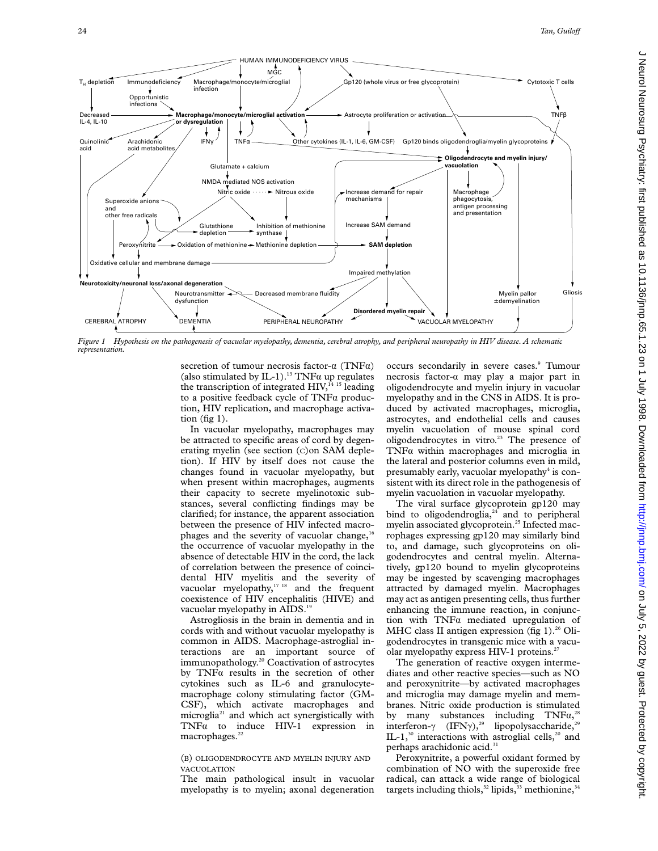

*Figure 1 Hypothesis on the pathogenesis of vacuolar myelopathy, dementia, cerebral atrophy, and peripheral neuropathy in HIV disease. A schematic representation.*

secretion of tumour necrosis factor- $\alpha$  (TNF $\alpha$ ) (also stimulated by IL-1).<sup>13</sup> TNF $\alpha$  up regulates the transcription of integrated HIV,<sup>14 15</sup> leading to a positive feedback cycle of  $TNFa$  production, HIV replication, and macrophage activation  $(fig 1)$ .

In vacuolar myelopathy, macrophages may be attracted to specific areas of cord by degenerating myelin (see section (C)on SAM depletion). If HIV by itself does not cause the changes found in vacuolar myelopathy, but when present within macrophages, augments their capacity to secrete myelinotoxic substances, several conflicting findings may be clarified; for instance, the apparent association between the presence of HIV infected macrophages and the severity of vacuolar change, $16$ the occurrence of vacuolar myelopathy in the absence of detectable HIV in the cord, the lack of correlation between the presence of coincidental HIV myelitis and the severity of vacuolar myelopathy,<sup>17 18</sup> and the frequent coexistence of HIV encephalitis (HIVE) and vacuolar myelopathy in AIDS.<sup>19</sup>

Astrogliosis in the brain in dementia and in cords with and without vacuolar myelopathy is common in AIDS. Macrophage-astroglial interactions are an important source of immunopathology.20 Coactivation of astrocytes by  $TNFa$  results in the secretion of other cytokines such as IL-6 and granulocytemacrophage colony stimulating factor (GM-CSF), which activate macrophages and microglia21 and which act synergistically with  $TNF\alpha$  to induce HIV-1 expression in macrophages.<sup>22</sup>

## (B) OLIGODENDROCYTE AND MYELIN INJURY AND VACUOLATION

The main pathological insult in vacuolar myelopathy is to myelin; axonal degeneration occurs secondarily in severe cases.<sup>9</sup> Tumour necrosis factor-á may play a major part in oligodendrocyte and myelin injury in vacuolar myelopathy and in the CNS in AIDS. It is produced by activated macrophages, microglia, astrocytes, and endothelial cells and causes myelin vacuolation of mouse spinal cord oligodendrocytes in vitro.<sup>23</sup> The presence of TNFa within macrophages and microglia in the lateral and posterior columns even in mild, presumably early, vacuolar myelopathy<sup>4</sup> is consistent with its direct role in the pathogenesis of myelin vacuolation in vacuolar myelopathy.

The viral surface glycoprotein gp120 may bind to oligodendroglia, $24$  and to peripheral myelin associated glycoprotein.<sup>25</sup> Infected macrophages expressing gp120 may similarly bind to, and damage, such glycoproteins on oligodendrocytes and central myelin. Alternatively, gp120 bound to myelin glycoproteins may be ingested by scavenging macrophages attracted by damaged myelin. Macrophages may act as antigen presenting cells, thus further enhancing the immune reaction, in conjunction with  $TNF\alpha$  mediated upregulation of MHC class II antigen expression (fig 1). $26$  Oligodendrocytes in transgenic mice with a vacuolar myelopathy express HIV-1 proteins.<sup>27</sup>

The generation of reactive oxygen intermediates and other reactive species—such as NO and peroxynitrite—by activated macrophages and microglia may damage myelin and membranes. Nitric oxide production is stimulated by many substances including  $TNF\alpha$ ,<sup>28</sup> interferon- $\gamma$  (IFN $\gamma$ ),<sup>29</sup> lipopolysaccharide,<sup>29</sup> IL-1, $30$  interactions with astroglial cells, $20$  and perhaps arachidonic acid.<sup>31</sup>

Peroxynitrite, a powerful oxidant formed by combination of NO with the superoxide free radical, can attack a wide range of biological targets including thiols,<sup>32</sup> lipids,<sup>33</sup> methionine,<sup>3</sup>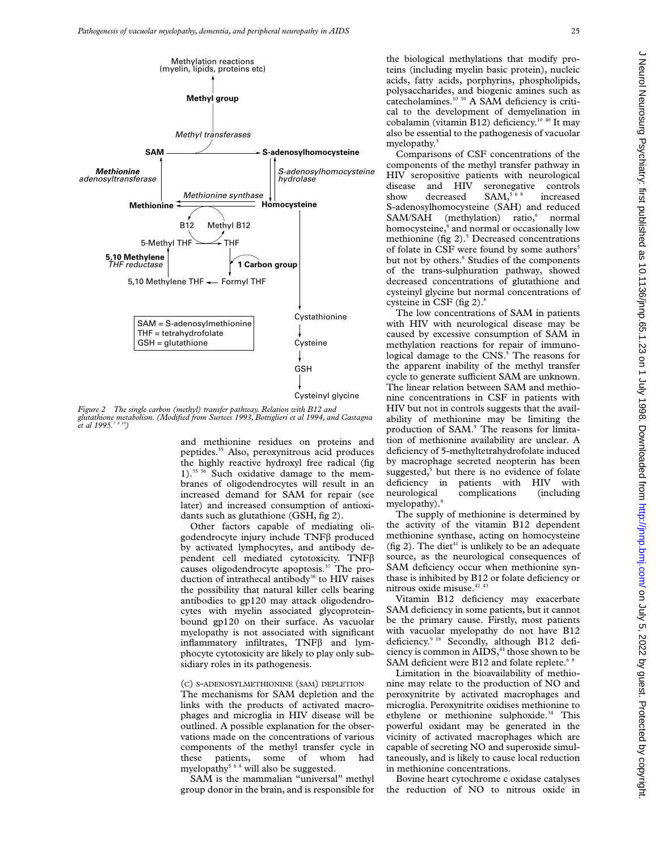

*Figure 2 The single carbon (methyl) transfer pathway. Relation with B12 and glutathione metabolism. (Modified from Surtees 1993, Bottiglieri et al 1994, and Castagna et al 1995.7 8 10)*

and methionine residues on proteins and peptides.35 Also, peroxynitrous acid produces the highly reactive hydroxyl free radical (fig 1).35 36 Such oxidative damage to the membranes of oligodendrocytes will result in an increased demand for SAM for repair (see later) and increased consumption of antioxidants such as glutathione (GSH, fig 2).

Other factors capable of mediating oligodendrocyte injury include TNFâ produced by activated lymphocytes, and antibody dependent cell mediated cytotoxicity. TNFâ causes oligodendrocyte apoptosis.37 The production of intrathecal antibody<sup>38</sup> to HIV raises the possibility that natural killer cells bearing antibodies to gp120 may attack oligodendrocytes with myelin associated glycoproteinbound gp120 on their surface. As vacuolar myelopathy is not associated with significant inflammatory infiltrates,  $TNF\beta$  and lymphocyte cytotoxicity are likely to play only subsidiary roles in its pathogenesis.

# (C) S-ADENOSYLMETHIONINE (SAM) DEPLETION

The mechanisms for SAM depletion and the links with the products of activated macrophages and microglia in HIV disease will be outlined. A possible explanation for the observations made on the concentrations of various components of the methyl transfer cycle in these patients, some of whom had myelopathy<sup>568</sup> will also be suggested.

SAM is the mammalian "universal" methyl group donor in the brain, and is responsible for the biological methylations that modify proteins (including myelin basic protein), nucleic acids, fatty acids, porphyrins, phospholipids, polysaccharides, and biogenic amines such as catecholamines.<sup>10 39</sup> A SAM deficiency is critical to the development of demyelination in cobalamin (vitamin B12) deficiency.10 40 It may also be essential to the pathogenesis of vacuolar myelopathy.<sup>5</sup>

Comparisons of CSF concentrations of the components of the methyl transfer pathway in HIV seropositive patients with neurological disease and HIV seronegative controls show decreased SAM,<sup>568</sup> increased S-adenosylhomocysteine (SAH) and reduced SAM/SAH (methylation) ratio,<sup>6</sup> normal homocysteine,<sup>8</sup> and normal or occasionally low methionine (fig  $2$ ).<sup>5</sup> Decreased concentrations of folate in CSF were found by some authors<sup>5</sup> but not by others.<sup>8</sup> Studies of the components of the trans-sulphuration pathway, showed decreased concentrations of glutathione and cysteinyl glycine but normal concentrations of cysteine in CSF (fig 2).<sup>8</sup>

The low concentrations of SAM in patients with HIV with neurological disease may be caused by excessive consumption of SAM in methylation reactions for repair of immunological damage to the  $CNS$ .<sup>5</sup> The reasons for the apparent inability of the methyl transfer cycle to generate sufficient SAM are unknown. The linear relation between SAM and methionine concentrations in CSF in patients with HIV but not in controls suggests that the availability of methionine may be limiting the production of SAM.<sup>5</sup> The reasons for limitation of methionine availability are unclear. A deficiency of 5-methyltetrahydrofolate induced by macrophage secreted neopterin has been suggested, $5$  but there is no evidence of folate deficiency in patients with HIV with neurological complications (including myelopathy).<sup>8</sup>

The supply of methionine is determined by the activity of the vitamin B12 dependent methionine synthase, acting on homocysteine (fig 2). The diet<sup>41</sup> is unlikely to be an adequate source, as the neurological consequences of SAM deficiency occur when methionine synthase is inhibited by B12 or folate deficiency or nitrous oxide misuse.<sup>42 43</sup>

Vitamin B12 deficiency may exacerbate SAM deficiency in some patients, but it cannot be the primary cause. Firstly, most patients with vacuolar myelopathy do not have B12 deficiency.<sup>9 18</sup> Secondly, although B12 deficiency is common in AIDS,<sup>44</sup> those shown to be SAM deficient were B12 and folate replete.<sup>68</sup>

Limitation in the bioavailability of methionine may relate to the production of NO and peroxynitrite by activated macrophages and microglia. Peroxynitrite oxidises methionine to ethylene or methionine sulphoxide.<sup>34</sup> This powerful oxidant may be generated in the vicinity of activated macrophages which are capable of secreting NO and superoxide simultaneously, and is likely to cause local reduction in methionine concentrations.

Bovine heart cytochrome c oxidase catalyses the reduction of NO to nitrous oxide in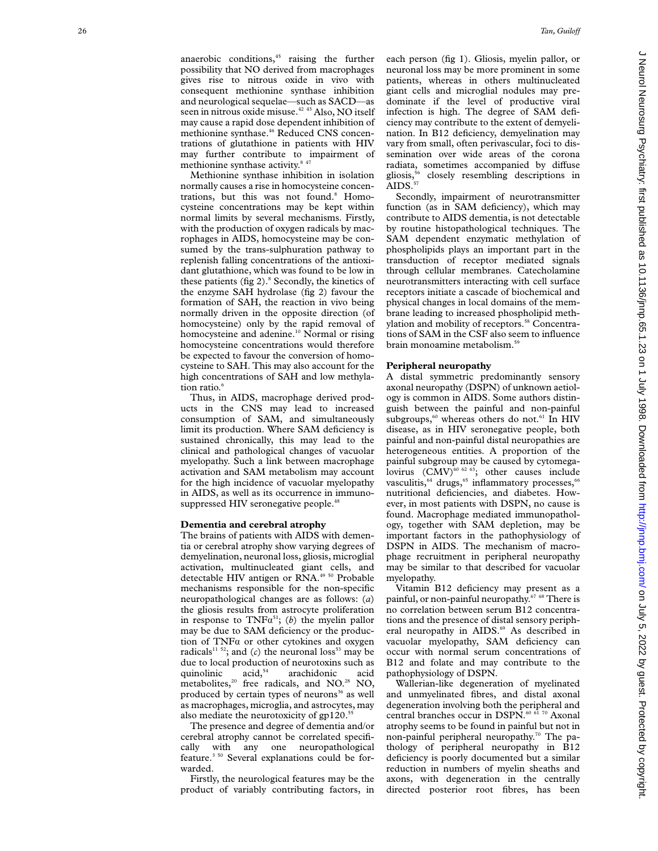anaerobic conditions,<sup>45</sup> raising the further possibility that NO derived from macrophages gives rise to nitrous oxide in vivo with consequent methionine synthase inhibition and neurological sequelae—such as SACD—as seen in nitrous oxide misuse.<sup>42 43</sup> Also, NO itself may cause a rapid dose dependent inhibition of methionine synthase.<sup>46</sup> Reduced CNS concentrations of glutathione in patients with HIV may further contribute to impairment of methionine synthase activity.<sup>8</sup> <sup>47</sup>

Methionine synthase inhibition in isolation normally causes a rise in homocysteine concentrations, but this was not found.<sup>8</sup> Homocysteine concentrations may be kept within normal limits by several mechanisms. Firstly, with the production of oxygen radicals by macrophages in AIDS, homocysteine may be consumed by the trans-sulphuration pathway to replenish falling concentrations of the antioxidant glutathione, which was found to be low in these patients (fig 2). <sup>8</sup> Secondly, the kinetics of the enzyme SAH hydrolase (fig 2) favour the formation of SAH, the reaction in vivo being normally driven in the opposite direction (of homocysteine) only by the rapid removal of homocysteine and adenine.<sup>10</sup> Normal or rising homocysteine concentrations would therefore be expected to favour the conversion of homocysteine to SAH. This may also account for the high concentrations of SAH and low methylation ratio.<sup>6</sup>

Thus, in AIDS, macrophage derived products in the CNS may lead to increased consumption of SAM, and simultaneously limit its production. Where SAM deficiency is sustained chronically, this may lead to the clinical and pathological changes of vacuolar myelopathy. Such a link between macrophage activation and SAM metabolism may account for the high incidence of vacuolar myelopathy in AIDS, as well as its occurrence in immunosuppressed HIV seronegative people.<sup>48</sup>

## **Dementia and cerebral atrophy**

The brains of patients with AIDS with dementia or cerebral atrophy show varying degrees of demyelination, neuronal loss, gliosis, microglial activation, multinucleated giant cells, and detectable HIV antigen or RNA.<sup>49 50</sup> Probable mechanisms responsible for the non-specific neuropathological changes are as follows: ( *a* ) the gliosis results from astrocyte proliferation in response to  $TNF\alpha^{51}$ ; (b) the myelin pallor may be due to SAM deficiency or the production of  $TNF\alpha$  or other cytokines and oxygen radicals<sup>11 52</sup>; and (*c*) the neuronal loss<sup>53</sup> may be due to local production of neurotoxins such as<br>quinolinic  $\arctan s$  are acchidonic acid quinolinic acid,<sup>54</sup> arachidonic acid metabolites, $^{20}$  free radicals, and NO.<sup>28</sup> NO, produced by certain types of neurons $36$  as well as macrophages, microglia, and astrocytes, may also mediate the neurotoxicity of  $gp120$ .<sup>51</sup>

The presence and degree of dementia and/or cerebral atrophy cannot be correlated specifically with any one neuropathological feature.3 50 Several explanations could be forwarded.

Firstly, the neurological features may be the product of variably contributing factors, in

each person (fig 1). Gliosis, myelin pallor, or neuronal loss may be more prominent in some patients, whereas in others multinucleated giant cells and microglial nodules may predominate if the level of productive viral infection is high. The degree of SAM deficiency may contribute to the extent of demyelination. In B12 deficiency, demyelination may vary from small, often perivascular, foci to dissemination over wide areas of the corona radiata, sometimes accompanied by diffuse gliosis,56 closely resembling descriptions in  $\widetilde{A}$ IDS.<sup>57</sup>

Secondly, impairment of neurotransmitter function (as in SAM deficiency), which may contribute to AIDS dementia, is not detectable by routine histopathological techniques. The SAM dependent enzymatic methylation of phospholipids plays an important part in the transduction of receptor mediated signals through cellular membranes. Catecholamine neurotransmitters interacting with cell surface receptors initiate a cascade of biochemical and physical changes in local domains of the membrane leading to increased phospholipid methylation and mobility of receptors.<sup>58</sup> Concentrations of SAM in the CSF also seem to influence brain monoamine metabolism.<sup>59</sup>

# **Peripheral neuropathy**

A distal symmetric predominantly sensory axonal neuropathy (DSPN) of unknown aetiology is common in AIDS. Some authors distinguish between the painful and non-painful subgroups,<sup>60</sup> whereas others do not.<sup>61</sup> In HIV disease, as in HIV seronegative people, both painful and non-painful distal neuropathies are heterogeneous entities. A proportion of the painful subgroup may be caused by cytomegalovirus  $(CMV)^{60}$  <sup>62 63</sup>; other causes include vasculitis,<sup>64</sup> drugs,<sup>65</sup> inflammatory processes,<sup>6</sup> nutritional deficiencies, and diabetes. However, in most patients with DSPN, no cause is found. Macrophage mediated immunopathology, together with SAM depletion, may be important factors in the pathophysiology of DSPN in AIDS. The mechanism of macrophage recruitment in peripheral neuropathy may be similar to that described for vacuolar myelopathy.

Vitamin B12 deficiency may present as a painful, or non-painful neuropathy.67 68 There is no correlation between serum B12 concentrations and the presence of distal sensory peripheral neuropathy in AIDS.<sup>69</sup> As described in vacuolar myelopathy, SAM deficiency can occur with normal serum concentrations of B12 and folate and may contribute to the pathophysiology of DSPN.

Wallerian-like degeneration of myelinated and unmyelinated fibres, and distal axonal degeneration involving both the peripheral and central branches occur in DSPN.<sup>60 61 70</sup> Axonal atrophy seems to be found in painful but not in non-painful peripheral neuropathy.<sup>70</sup> The pathology of peripheral neuropathy in B12 deficiency is poorly documented but a similar reduction in numbers of myelin sheaths and axons, with degeneration in the centrally directed posterior root fibres, has been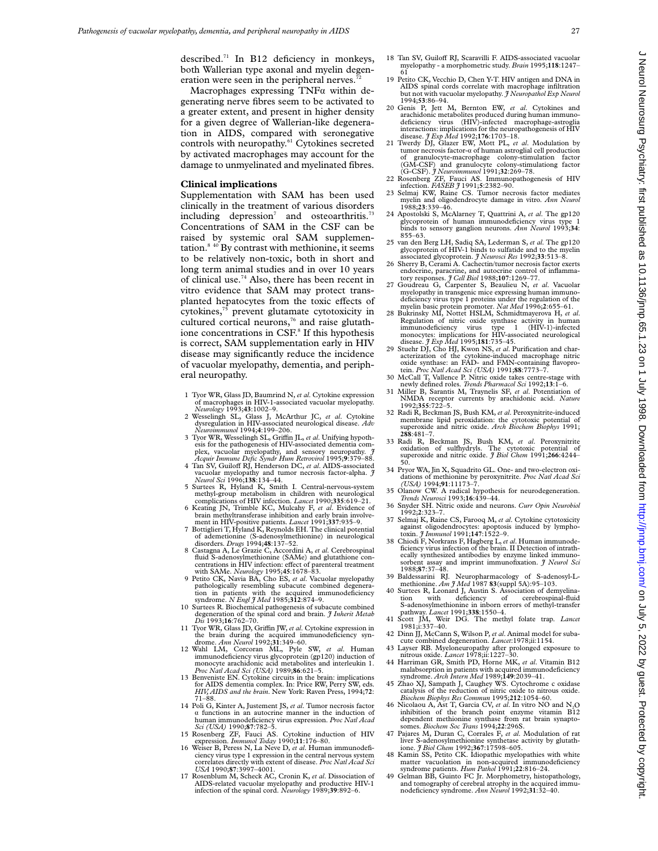described.<sup>71</sup> In B12 deficiency in monkeys, both Wallerian type axonal and myelin degeneration were seen in the peripheral nerves.<sup>7</sup>

Macrophages expressing  $TNF\alpha$  within degenerating nerve fibres seem to be activated to a greater extent, and present in higher density for a given degree of Wallerian-like degeneration in AIDS, compared with seronegative controls with neuropathy.<sup>61</sup> Cytokines secreted by activated macrophages may account for the damage to unmyelinated and myelinated fibres.

# **Clinical implications**

Supplementation with SAM has been used clinically in the treatment of various disorders including depression<sup>7</sup> and osteoarthritis.<sup>73</sup> Concentrations of SAM in the CSF can be raised by systemic oral SAM supplementation.<sup>8 40</sup> By contrast with methionine, it seems to be relatively non-toxic, both in short and long term animal studies and in over 10 years of clinical use.74 Also, there has been recent in vitro evidence that SAM may protect transplanted hepatocytes from the toxic effects of cytokines,75 prevent glutamate cytotoxicity in cultured cortical neurons,<sup>76</sup> and raise glutathione concentrations in CSF.<sup>8</sup> If this hypothesis is correct, SAM supplementation early in HIV disease may significantly reduce the incidence of vacuolar myelopathy, dementia, and peripheral neuropathy.

- 1 Tyor WR, Glass JD, Baumrind N, *et al*. Cytokine expression of macrophages in HIV-1-associated vacuolar myelopathy. *Neurology* 1993;**43**:1002–9.
- 2 Wesselingh SL, Glass J, McArthur JC, *et al*. Cytokine dysregulation in HIV-associated neurological disease. *Adv Neuroimmunol* 1994;**4**:199–206.
- 3 Tyor WR, Wesselingh SL, GriYn JL, *et al*. Unifying hypothesis for the pathogenesis of HIV-associated dementia com-plex, vacuolar myelopathy, and sensory neuropathy. *J*
- *Acquir Immune Defic Syndr Hum Retrovirol* 1995;9:379–88.<br>4 Tan SV, Guiloff RJ, Henderson DC, *et al.* AIDS-associated vacuolar myelopathy and tumor necrosis factor-alpha. *J Neurol Sci* 1996;**138**:134–44.
- 5 Surtees R, Hyland K, Smith I. Central-nervous-system methyl-group metabolism in children with neurological
- complications of HIV infection. *Lancet* 1990;**335**:619–21. 6 Keating JN, Trimble KC, Mulcahy F, *et al*. Evidence of brain methyltransferase inhibition and early brain involvement in HIV-positive patients. *Lancet* 1991;**337**:935–9.
- 7 Bottiglieri T, Hyland K, Reynolds EH. The clinical potential of ademetionine (S-adenosylmethionine) in neurological disorders. *Drugs* 1994;**48**:137–52. 8 Castagna A, Le Grazie C, Accordini A, *et al*. Cerebrospinal
- 8 Castagna A, Le Grazie C, Accordini A, et al. Cerebrospinal fluid S-adenosylmethionine (SAMe) and glutathione concentrations in HIV infection: effect of parenteral treatment<br>with SAMe. *Neurology* 1995;**45**:1678–83.<br>9 Petito CK, Navia BA, Cho ES, *et al.* Vacuolar myelopathy
- pathologically resembling subacute combined degenera-tion in patients with the acquired immunodeficiency
- 10 Surtees R. Biochemical pathogenesis of subacute combined degeneration of the spinal cord and brain. *J Inherit Metab*
- *Dis* 1993;16:762-70.<br>
11 Tyor WR, Glass JD, Griffin JW, et al. Cytokine expression in<br>
the brain during the acquired immunodeficiency syn-<br>
drome. Ann Neurol 1992;31:349-60.<br>
12 Wahl LM, Corcoran ML, Pyle SW, et al. Huma
- immunodeficiency virus glycoprotein (gp120) induction of monocyte arachidonic acid metabolites and interleukin 1. *Proc Natl Acad Sci (USA)* 1989;**86**:621–5.
- 13 Benveniste EN. Cytokine circuits in the brain: implications for AIDS dementia complex. In: Price RW, Perry SW, eds. *HIV, AIDS and the brain*. New York: Raven Press, 1994;**72**: 71–88.
- 14 Poli G, Kinter A, Justement JS, *et al.* Tumor necrosis factor *a* functions in an autocrine manner in the induction of human immunodeficiency virus expression. *Proc Natl Acad Sci (USA)* 1990;**87**:782–5.
- 15 Rosenberg ZF, Fauci AS. Cytokine induction of HIV
- expression. *Immunol Today* 1990;11:176–80.<br>16 Weiser B, Peress N, La Neve D, *et al.* Human immunodefi-<br>ciency virus type 1 expression in the central nervous system correlates directly with extent of disease. *Proc Natl Acad Sci USA* 1990;**87**:3997–4001. 17 Rosenblum M, Scheck AC, Cronin K, *et al*. Dissociation of
- AIDS-related vacuolar myelopathy and productive HIV-1 infection of the spinal cord. *Neurology* 1989;**39**:892–6.
- 18 Tan SV, Guiloff RJ, Scaravilli F. AIDS-associated vacuolar myelopathy - a morphometric study. *Brain* 1995;**118**:1247– 61
- 19 Petito CK, Vecchio D, Chen Y-T. HIV antigen and DNA in AIDS spinal cords correlate with macrophage infiltration but not with vacuolar myelopathy. *J Neuropathol Exp Neurol* 1994;**53**:86–94.
- 20 Genis P, Jett M, Bernton EW, *et al*. Cytokines and arachidonic metabolites produced during human immuno-deficiency virus (HIV)-infected macrophage-astroglia interactions: implications for the neuropathogenesis of HIV disease. *J Exp Med* 1992;**176**:1703–18.
- 21 Twerdy DJ, Glazer EW, Mott PL, *et al*. Modulation by tumor necrosis factor-á of human astroglial cell production of granulocyte-macrophage colony-stimulation factor (GM-CSF) and granulocyte colony-stimulationg factor (G-CSF). *J Neuroimmunol* 1991;**32**:269–78.
- 22 Rosenberg ZF, Fauci AS. Immunopathogenesis of HIV infection. *FASEB J* 1991;**5**:2382–90.
- 23 Selmaj KW, Raine CS. Tumor necrosis factor mediates myelin and oligodendrocyte damage in vitro. *Ann Neurol* 1988;**23**:339–46.
- 24 Apostolski S, McAlarney T, Quattrini A, *et al*. The gp120 glycoprotein of human immunodeficiency virus type 1 binds to sensory ganglion neurons. *Ann Neurol* 1993;**34**: 855–63.
- 25 van den Berg LH, Sadiq SA, Lederman S, *et al*. The gp120 glycoprotein of HIV-1 binds to sulfatide and to the myelin
- associated glycoprotein. *J Neurosci Res* 1992;**33**:513–8. 26 Sherry B, Cerami A. Cachectin/tumor necrosis factor exerts endocrine, paracrine, and autocrine control of inflammatory responses. *J Cell Biol* 1988;**107**:1269–77.
- 27 Goudreau G, Carpenter S, Beaulieu N, *et al*. Vacuolar myelopathy in transgenic mice expressing human immuno-deficiency virus type 1 proteins under the regulation of the myelin basic protein promoter. *Nat Med* 1996;**2**:655–61.
- 28 Bukrinsky MI, Nottet HSLM, Schmidtmayerova H, *et al*. Regulation of nitric oxide synthase activity in human immunodeficiency virus type 1 (HIV-1)-infected monocytes: implications for HIV-associated neurological
- disease. *J Exp Med* 1995;**181**:735–45. 29 Stuehr DJ, Cho HJ, Kwon NS, *et al*. Purification and characterization of the cytokine-induced macrophage nitric oxide synthase: an FAD- and FMN-containing flavopro-tein. *Proc Natl Acad Sci (USA)* 1991;**88**:7773–7.
- 30 McCall T, Vallence P. Nitric oxide takes centre-stage with newly defined roles. *Trends Pharmacol Sci* 1992;**13**:1–6.
- 31 Miller B, Sarantis M, Traynelis SF, *et al*. Potentiation of NMDA receptor currents by arachidonic acid. *Nature* 1992;**355**:722–5.
- 32 Radi R, Beckman JS, Bush KM, *et al*. Peroxynitrite-induced membrane lipid peroxidation: the cytotoxic potential of superoxide and nitric oxide. *Arch Biochem Biophys* 1991; **<sup>288</sup>**:481–7.
- 33 Radi R, Beckman JS, Bush KM, *et al*. Peroxynitrite oxidation of sulfhydryls. The cytotoxic potential of superoxide and nitric oxide. *J Biol Chem* 1991;**266**:4244– 50.
- 34 Pryor WA, Jin X, Squadrito GL. One- and two-electron oxidations of methionine by peroxynitrite. *Proc Natl Acad Sci (USA)* 1994;**91**:11173–7.
- 35 Olanow CW. A radical hypothesis for neurodegeneration. *Trends Neurosci* 1993;**16**:439–44. 36 Snyder SH. Nitric oxide and neurons. *Curr Opin Neurobiol*
- 1992;**2**:323–7. 37 Selmaj K, Raine CS, Farooq M, *et al*. Cytokine cytotoxicity
- against oligodendrocytes: apoptosis induced by lympho-toxin. *J Immunol* 1991;**147**:1522–9.
- 38 Chiodi F, Norkrans F, Hagberg L,*et al*. Human immunode-ficiency virus infection of the brain. II Detection of intrathecally synthesized antibodies by enzyme linked immunosorbent assay and imprint immunofixation. *J Neurol Sci* 1988;**87**:37–48.
- 39 Baldessarini RJ. Neuropharmacology of S-adenosyl-Lmethionine. *Am J Med* 1987 **83**(suppl 5A):95–103.
- 40 Surtees R, Leonard J, Austin S. Association of demyelination with deficiency of cerebrospinal-fluid S-adenosylmethionine in inborn errors of methyl-transfer pathway. *Lancet* 1991;**338**:1550–4.
- 41 Scott JM, Weir DG. The methyl folate trap. *Lancet* 1981;i:337–40.
- 42 Dinn JJ, McCann S, Wilson P, *et al*. Animal model for subacute combined degeneration. *Lancet*:1978;ii:1154.
- 43 Layser RB. Myeloneuropathy after prolonged exposure to nitrous oxide. *Lancet* 1978;ii:1227–30.
- 44 Harriman GR, Smith PD, Horne MK, *et al*. Vitamin B12 malabsorption in patients with acquired immunodeficiency syndrome. *Arch Intern Med* 1989;**149**:2039–41.
- 45 Zhao XJ, Sampath J, Caughey WS. Cytochrome c oxidase catalysis of the reduction of nitric oxide to nitrous oxide. *Biochem Biophys Res Commun* 1995;**212**:1054–60.
- 46 Nicolaou A, Ast T, Garcia CV, *et al*. In vitro NO and N2O inhibition of the branch point enzyme vitamin B12 dependent methionine synthase from rat brain synaptosomes. *Biochem Soc Trans* 1994;**22**:296S.
- 47 Pajares M, Duran C, Corrales F, *et al*. Modulation of rat liver S-adenosylmethionine synthetase activity by glutathione. *J Biol Chem* 1992;**367**:17598–605.
- 48 Kamin SS, Petito CK. Idiopathic myelopathies with white matter vacuolation in non-acquired immunodeficiency syndrome patients. *Hum Pathol* 1991;**22**:816–24.
- 49 Gelman BB, Guinto FC Jr. Morphometry, histopathology, and tomography of cerebral atrophy in the acquired immunodeficiency syndrome. *Ann Neurol* 1992;**31**:32–40.